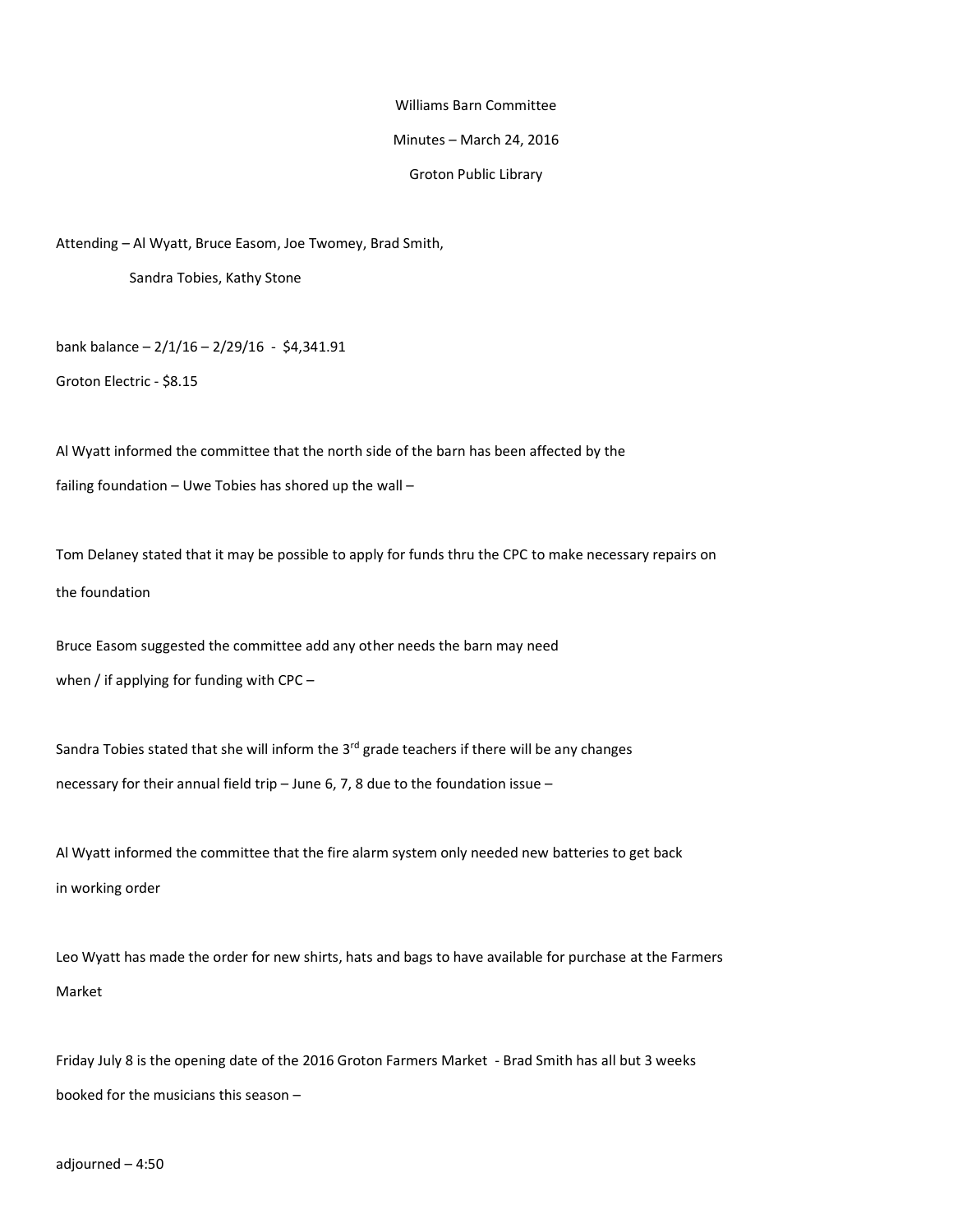## Williams Barn Committee

## Minutes – March 24, 2016

## Groton Public Library

Attending – Al Wyatt, Bruce Easom, Joe Twomey, Brad Smith,

Sandra Tobies, Kathy Stone

bank balance – 2/1/16 – 2/29/16 - \$4,341.91

Groton Electric - \$8.15

Al Wyatt informed the committee that the north side of the barn has been affected by the failing foundation – Uwe Tobies has shored up the wall –

Tom Delaney stated that it may be possible to apply for funds thru the CPC to make necessary repairs on the foundation

Bruce Easom suggested the committee add any other needs the barn may need when / if applying for funding with CPC -

Sandra Tobies stated that she will inform the  $3<sup>rd</sup>$  grade teachers if there will be any changes necessary for their annual field trip – June 6, 7, 8 due to the foundation issue –

Al Wyatt informed the committee that the fire alarm system only needed new batteries to get back in working order

Leo Wyatt has made the order for new shirts, hats and bags to have available for purchase at the Farmers Market

Friday July 8 is the opening date of the 2016 Groton Farmers Market - Brad Smith has all but 3 weeks booked for the musicians this season –